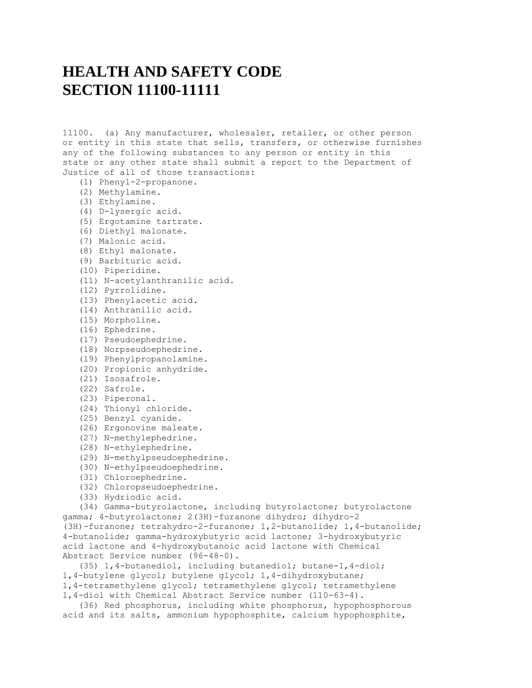## **HEALTH AND SAFETY CODE SECTION 11100-11111**

11100. (a) Any manufacturer, wholesaler, retailer, or other person or entity in this state that sells, transfers, or otherwise furnishes any of the following substances to any person or entity in this state or any other state shall submit a report to the Department of Justice of all of those transactions:

- (1) Phenyl-2-propanone.
- (2) Methylamine.
- (3) Ethylamine.
- (4) D-lysergic acid.
- (5) Ergotamine tartrate.
- (6) Diethyl malonate.
- (7) Malonic acid.
- (8) Ethyl malonate.
- (9) Barbituric acid.
- (10) Piperidine.
- (11) N-acetylanthranilic acid.
- (12) Pyrrolidine.
- (13) Phenylacetic acid.
- (14) Anthranilic acid.
- (15) Morpholine.
- (16) Ephedrine.
- (17) Pseudoephedrine.
- (18) Norpseudoephedrine.
- (19) Phenylpropanolamine.
- (20) Propionic anhydride.
- (21) Isosafrole.
- (22) Safrole.
- (23) Piperonal.
- (24) Thionyl chloride.
- (25) Benzyl cyanide.
- (26) Ergonovine maleate.
- (27) N-methylephedrine.
- (28) N-ethylephedrine.
- (29) N-methylpseudoephedrine.
- (30) N-ethylpseudoephedrine.
- (31) Chloroephedrine.
- (32) Chloropseudoephedrine.
- (33) Hydriodic acid.

 (34) Gamma-butyrolactone, including butyrolactone; butyrolactone gamma; 4-butyrolactone; 2(3H)-furanone dihydro; dihydro-2 (3H)-furanone; tetrahydro-2-furanone; 1,2-butanolide; 1,4-butanolide; 4-butanolide; gamma-hydroxybutyric acid lactone; 3-hydroxybutyric acid lactone and 4-hydroxybutanoic acid lactone with Chemical Abstract Service number (96-48-0).

 (35) 1,4-butanediol, including butanediol; butane-1,4-diol; 1,4-butylene glycol; butylene glycol; 1,4-dihydroxybutane; 1,4-tetramethylene glycol; tetramethylene glycol; tetramethylene 1,4-diol with Chemical Abstract Service number (110-63-4).

 (36) Red phosphorus, including white phosphorus, hypophosphorous acid and its salts, ammonium hypophosphite, calcium hypophosphite,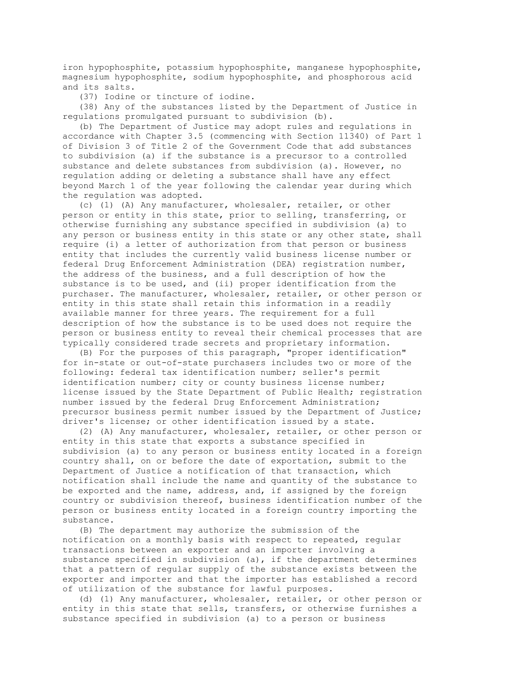iron hypophosphite, potassium hypophosphite, manganese hypophosphite, magnesium hypophosphite, sodium hypophosphite, and phosphorous acid and its salts.

(37) Iodine or tincture of iodine.

 (38) Any of the substances listed by the Department of Justice in regulations promulgated pursuant to subdivision (b).

 (b) The Department of Justice may adopt rules and regulations in accordance with Chapter 3.5 (commencing with Section 11340) of Part 1 of Division 3 of Title 2 of the Government Code that add substances to subdivision (a) if the substance is a precursor to a controlled substance and delete substances from subdivision (a). However, no regulation adding or deleting a substance shall have any effect beyond March 1 of the year following the calendar year during which the regulation was adopted.

 (c) (1) (A) Any manufacturer, wholesaler, retailer, or other person or entity in this state, prior to selling, transferring, or otherwise furnishing any substance specified in subdivision (a) to any person or business entity in this state or any other state, shall require (i) a letter of authorization from that person or business entity that includes the currently valid business license number or federal Drug Enforcement Administration (DEA) registration number, the address of the business, and a full description of how the substance is to be used, and (ii) proper identification from the purchaser. The manufacturer, wholesaler, retailer, or other person or entity in this state shall retain this information in a readily available manner for three years. The requirement for a full description of how the substance is to be used does not require the person or business entity to reveal their chemical processes that are typically considered trade secrets and proprietary information.

 (B) For the purposes of this paragraph, "proper identification" for in-state or out-of-state purchasers includes two or more of the following: federal tax identification number; seller's permit identification number; city or county business license number; license issued by the State Department of Public Health; registration number issued by the federal Drug Enforcement Administration; precursor business permit number issued by the Department of Justice; driver's license; or other identification issued by a state.

 (2) (A) Any manufacturer, wholesaler, retailer, or other person or entity in this state that exports a substance specified in subdivision (a) to any person or business entity located in a foreign country shall, on or before the date of exportation, submit to the Department of Justice a notification of that transaction, which notification shall include the name and quantity of the substance to be exported and the name, address, and, if assigned by the foreign country or subdivision thereof, business identification number of the person or business entity located in a foreign country importing the substance.

 (B) The department may authorize the submission of the notification on a monthly basis with respect to repeated, regular transactions between an exporter and an importer involving a substance specified in subdivision (a), if the department determines that a pattern of regular supply of the substance exists between the exporter and importer and that the importer has established a record of utilization of the substance for lawful purposes.

 (d) (1) Any manufacturer, wholesaler, retailer, or other person or entity in this state that sells, transfers, or otherwise furnishes a substance specified in subdivision (a) to a person or business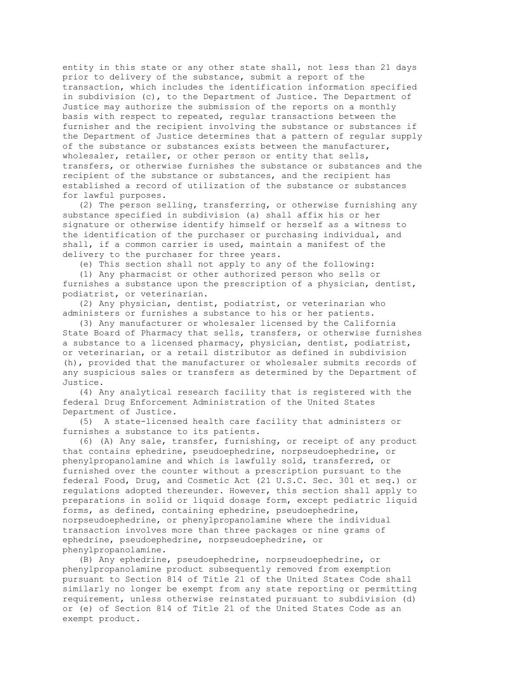entity in this state or any other state shall, not less than 21 days prior to delivery of the substance, submit a report of the transaction, which includes the identification information specified in subdivision (c), to the Department of Justice. The Department of Justice may authorize the submission of the reports on a monthly basis with respect to repeated, regular transactions between the furnisher and the recipient involving the substance or substances if the Department of Justice determines that a pattern of regular supply of the substance or substances exists between the manufacturer, wholesaler, retailer, or other person or entity that sells, transfers, or otherwise furnishes the substance or substances and the recipient of the substance or substances, and the recipient has established a record of utilization of the substance or substances for lawful purposes.

 (2) The person selling, transferring, or otherwise furnishing any substance specified in subdivision (a) shall affix his or her signature or otherwise identify himself or herself as a witness to the identification of the purchaser or purchasing individual, and shall, if a common carrier is used, maintain a manifest of the delivery to the purchaser for three years.

(e) This section shall not apply to any of the following:

 (1) Any pharmacist or other authorized person who sells or furnishes a substance upon the prescription of a physician, dentist, podiatrist, or veterinarian.

 (2) Any physician, dentist, podiatrist, or veterinarian who administers or furnishes a substance to his or her patients.

 (3) Any manufacturer or wholesaler licensed by the California State Board of Pharmacy that sells, transfers, or otherwise furnishes a substance to a licensed pharmacy, physician, dentist, podiatrist, or veterinarian, or a retail distributor as defined in subdivision (h), provided that the manufacturer or wholesaler submits records of any suspicious sales or transfers as determined by the Department of Justice.

 (4) Any analytical research facility that is registered with the federal Drug Enforcement Administration of the United States Department of Justice.

 (5) A state-licensed health care facility that administers or furnishes a substance to its patients.

 (6) (A) Any sale, transfer, furnishing, or receipt of any product that contains ephedrine, pseudoephedrine, norpseudoephedrine, or phenylpropanolamine and which is lawfully sold, transferred, or furnished over the counter without a prescription pursuant to the federal Food, Drug, and Cosmetic Act (21 U.S.C. Sec. 301 et seq.) or regulations adopted thereunder. However, this section shall apply to preparations in solid or liquid dosage form, except pediatric liquid forms, as defined, containing ephedrine, pseudoephedrine, norpseudoephedrine, or phenylpropanolamine where the individual transaction involves more than three packages or nine grams of ephedrine, pseudoephedrine, norpseudoephedrine, or phenylpropanolamine.

 (B) Any ephedrine, pseudoephedrine, norpseudoephedrine, or phenylpropanolamine product subsequently removed from exemption pursuant to Section 814 of Title 21 of the United States Code shall similarly no longer be exempt from any state reporting or permitting requirement, unless otherwise reinstated pursuant to subdivision (d) or (e) of Section 814 of Title 21 of the United States Code as an exempt product.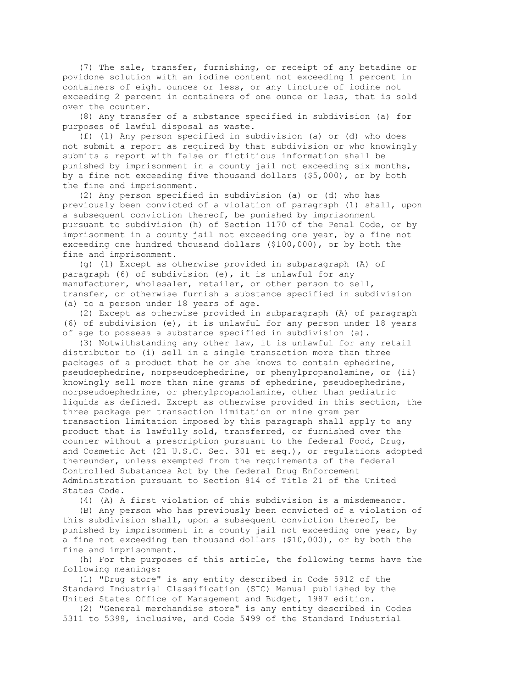(7) The sale, transfer, furnishing, or receipt of any betadine or povidone solution with an iodine content not exceeding 1 percent in containers of eight ounces or less, or any tincture of iodine not exceeding 2 percent in containers of one ounce or less, that is sold over the counter.

 (8) Any transfer of a substance specified in subdivision (a) for purposes of lawful disposal as waste.

 (f) (1) Any person specified in subdivision (a) or (d) who does not submit a report as required by that subdivision or who knowingly submits a report with false or fictitious information shall be punished by imprisonment in a county jail not exceeding six months, by a fine not exceeding five thousand dollars (\$5,000), or by both the fine and imprisonment.

 (2) Any person specified in subdivision (a) or (d) who has previously been convicted of a violation of paragraph (1) shall, upon a subsequent conviction thereof, be punished by imprisonment pursuant to subdivision (h) of Section 1170 of the Penal Code, or by imprisonment in a county jail not exceeding one year, by a fine not exceeding one hundred thousand dollars (\$100,000), or by both the fine and imprisonment.

 (g) (1) Except as otherwise provided in subparagraph (A) of paragraph (6) of subdivision (e), it is unlawful for any manufacturer, wholesaler, retailer, or other person to sell, transfer, or otherwise furnish a substance specified in subdivision (a) to a person under 18 years of age.

 (2) Except as otherwise provided in subparagraph (A) of paragraph (6) of subdivision (e), it is unlawful for any person under 18 years of age to possess a substance specified in subdivision (a).

 (3) Notwithstanding any other law, it is unlawful for any retail distributor to (i) sell in a single transaction more than three packages of a product that he or she knows to contain ephedrine, pseudoephedrine, norpseudoephedrine, or phenylpropanolamine, or (ii) knowingly sell more than nine grams of ephedrine, pseudoephedrine, norpseudoephedrine, or phenylpropanolamine, other than pediatric liquids as defined. Except as otherwise provided in this section, the three package per transaction limitation or nine gram per transaction limitation imposed by this paragraph shall apply to any product that is lawfully sold, transferred, or furnished over the counter without a prescription pursuant to the federal Food, Drug, and Cosmetic Act (21 U.S.C. Sec. 301 et seq.), or regulations adopted thereunder, unless exempted from the requirements of the federal Controlled Substances Act by the federal Drug Enforcement Administration pursuant to Section 814 of Title 21 of the United States Code.

(4) (A) A first violation of this subdivision is a misdemeanor.

 (B) Any person who has previously been convicted of a violation of this subdivision shall, upon a subsequent conviction thereof, be punished by imprisonment in a county jail not exceeding one year, by a fine not exceeding ten thousand dollars (\$10,000), or by both the fine and imprisonment.

 (h) For the purposes of this article, the following terms have the following meanings:

 (1) "Drug store" is any entity described in Code 5912 of the Standard Industrial Classification (SIC) Manual published by the United States Office of Management and Budget, 1987 edition.

 (2) "General merchandise store" is any entity described in Codes 5311 to 5399, inclusive, and Code 5499 of the Standard Industrial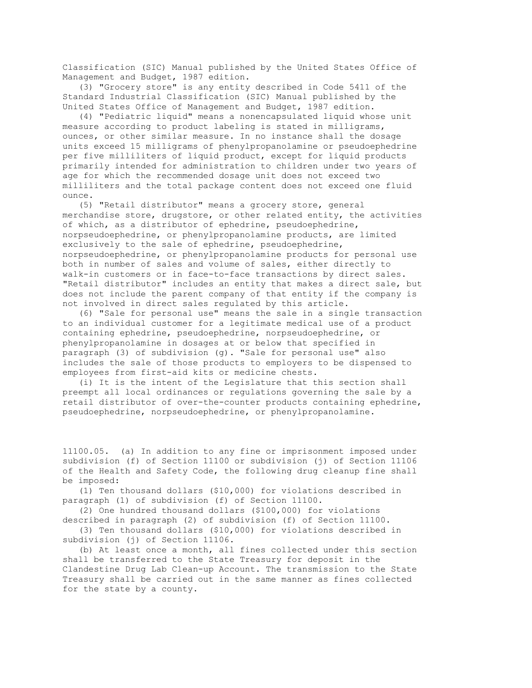Classification (SIC) Manual published by the United States Office of Management and Budget, 1987 edition.

 (3) "Grocery store" is any entity described in Code 5411 of the Standard Industrial Classification (SIC) Manual published by the United States Office of Management and Budget, 1987 edition.

 (4) "Pediatric liquid" means a nonencapsulated liquid whose unit measure according to product labeling is stated in milligrams, ounces, or other similar measure. In no instance shall the dosage units exceed 15 milligrams of phenylpropanolamine or pseudoephedrine per five milliliters of liquid product, except for liquid products primarily intended for administration to children under two years of age for which the recommended dosage unit does not exceed two milliliters and the total package content does not exceed one fluid ounce.

 (5) "Retail distributor" means a grocery store, general merchandise store, drugstore, or other related entity, the activities of which, as a distributor of ephedrine, pseudoephedrine, norpseudoephedrine, or phenylpropanolamine products, are limited exclusively to the sale of ephedrine, pseudoephedrine, norpseudoephedrine, or phenylpropanolamine products for personal use both in number of sales and volume of sales, either directly to walk-in customers or in face-to-face transactions by direct sales. "Retail distributor" includes an entity that makes a direct sale, but does not include the parent company of that entity if the company is not involved in direct sales regulated by this article.

 (6) "Sale for personal use" means the sale in a single transaction to an individual customer for a legitimate medical use of a product containing ephedrine, pseudoephedrine, norpseudoephedrine, or phenylpropanolamine in dosages at or below that specified in paragraph (3) of subdivision (g). "Sale for personal use" also includes the sale of those products to employers to be dispensed to employees from first-aid kits or medicine chests.

 (i) It is the intent of the Legislature that this section shall preempt all local ordinances or regulations governing the sale by a retail distributor of over-the-counter products containing ephedrine, pseudoephedrine, norpseudoephedrine, or phenylpropanolamine.

11100.05. (a) In addition to any fine or imprisonment imposed under subdivision (f) of Section 11100 or subdivision (j) of Section 11106 of the Health and Safety Code, the following drug cleanup fine shall be imposed:

 (1) Ten thousand dollars (\$10,000) for violations described in paragraph (1) of subdivision (f) of Section 11100.

 (2) One hundred thousand dollars (\$100,000) for violations described in paragraph (2) of subdivision (f) of Section 11100.

 (3) Ten thousand dollars (\$10,000) for violations described in subdivision (j) of Section 11106.

 (b) At least once a month, all fines collected under this section shall be transferred to the State Treasury for deposit in the Clandestine Drug Lab Clean-up Account. The transmission to the State Treasury shall be carried out in the same manner as fines collected for the state by a county.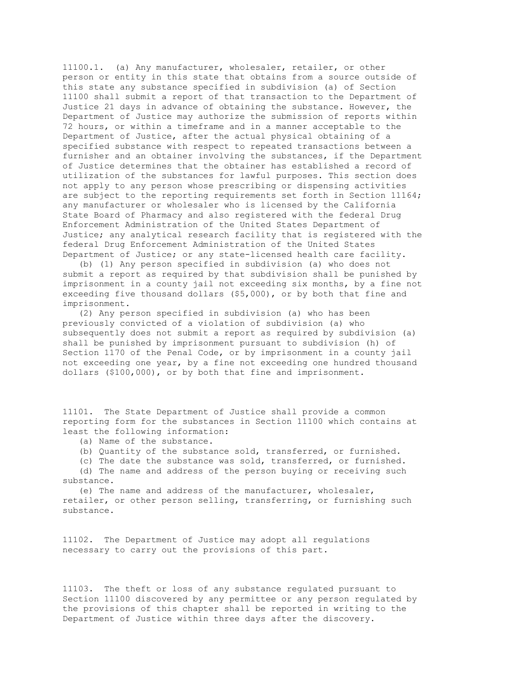11100.1. (a) Any manufacturer, wholesaler, retailer, or other person or entity in this state that obtains from a source outside of this state any substance specified in subdivision (a) of Section 11100 shall submit a report of that transaction to the Department of Justice 21 days in advance of obtaining the substance. However, the Department of Justice may authorize the submission of reports within 72 hours, or within a timeframe and in a manner acceptable to the Department of Justice, after the actual physical obtaining of a specified substance with respect to repeated transactions between a furnisher and an obtainer involving the substances, if the Department of Justice determines that the obtainer has established a record of utilization of the substances for lawful purposes. This section does not apply to any person whose prescribing or dispensing activities are subject to the reporting requirements set forth in Section 11164; any manufacturer or wholesaler who is licensed by the California State Board of Pharmacy and also registered with the federal Drug Enforcement Administration of the United States Department of Justice; any analytical research facility that is registered with the federal Drug Enforcement Administration of the United States Department of Justice; or any state-licensed health care facility.

 (b) (1) Any person specified in subdivision (a) who does not submit a report as required by that subdivision shall be punished by imprisonment in a county jail not exceeding six months, by a fine not exceeding five thousand dollars (\$5,000), or by both that fine and imprisonment.

 (2) Any person specified in subdivision (a) who has been previously convicted of a violation of subdivision (a) who subsequently does not submit a report as required by subdivision (a) shall be punished by imprisonment pursuant to subdivision (h) of Section 1170 of the Penal Code, or by imprisonment in a county jail not exceeding one year, by a fine not exceeding one hundred thousand dollars (\$100,000), or by both that fine and imprisonment.

11101. The State Department of Justice shall provide a common reporting form for the substances in Section 11100 which contains at least the following information:

- (a) Name of the substance.
- (b) Quantity of the substance sold, transferred, or furnished.
- (c) The date the substance was sold, transferred, or furnished.

 (d) The name and address of the person buying or receiving such substance.

 (e) The name and address of the manufacturer, wholesaler, retailer, or other person selling, transferring, or furnishing such substance.

11102. The Department of Justice may adopt all regulations necessary to carry out the provisions of this part.

11103. The theft or loss of any substance regulated pursuant to Section 11100 discovered by any permittee or any person regulated by the provisions of this chapter shall be reported in writing to the Department of Justice within three days after the discovery.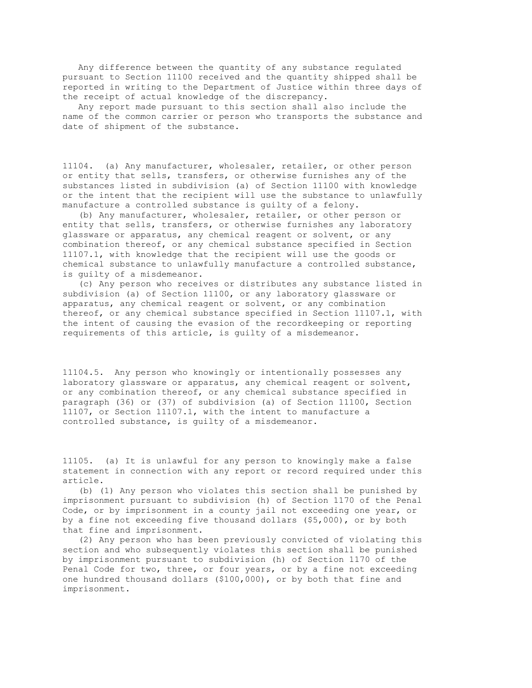Any difference between the quantity of any substance regulated pursuant to Section 11100 received and the quantity shipped shall be reported in writing to the Department of Justice within three days of the receipt of actual knowledge of the discrepancy.

 Any report made pursuant to this section shall also include the name of the common carrier or person who transports the substance and date of shipment of the substance.

11104. (a) Any manufacturer, wholesaler, retailer, or other person or entity that sells, transfers, or otherwise furnishes any of the substances listed in subdivision (a) of Section 11100 with knowledge or the intent that the recipient will use the substance to unlawfully manufacture a controlled substance is guilty of a felony.

 (b) Any manufacturer, wholesaler, retailer, or other person or entity that sells, transfers, or otherwise furnishes any laboratory glassware or apparatus, any chemical reagent or solvent, or any combination thereof, or any chemical substance specified in Section 11107.1, with knowledge that the recipient will use the goods or chemical substance to unlawfully manufacture a controlled substance, is guilty of a misdemeanor.

 (c) Any person who receives or distributes any substance listed in subdivision (a) of Section 11100, or any laboratory glassware or apparatus, any chemical reagent or solvent, or any combination thereof, or any chemical substance specified in Section 11107.1, with the intent of causing the evasion of the recordkeeping or reporting requirements of this article, is guilty of a misdemeanor.

11104.5. Any person who knowingly or intentionally possesses any laboratory glassware or apparatus, any chemical reagent or solvent, or any combination thereof, or any chemical substance specified in paragraph (36) or (37) of subdivision (a) of Section 11100, Section 11107, or Section 11107.1, with the intent to manufacture a controlled substance, is guilty of a misdemeanor.

11105. (a) It is unlawful for any person to knowingly make a false statement in connection with any report or record required under this article.

 (b) (1) Any person who violates this section shall be punished by imprisonment pursuant to subdivision (h) of Section 1170 of the Penal Code, or by imprisonment in a county jail not exceeding one year, or by a fine not exceeding five thousand dollars (\$5,000), or by both that fine and imprisonment.

 (2) Any person who has been previously convicted of violating this section and who subsequently violates this section shall be punished by imprisonment pursuant to subdivision (h) of Section 1170 of the Penal Code for two, three, or four years, or by a fine not exceeding one hundred thousand dollars (\$100,000), or by both that fine and imprisonment.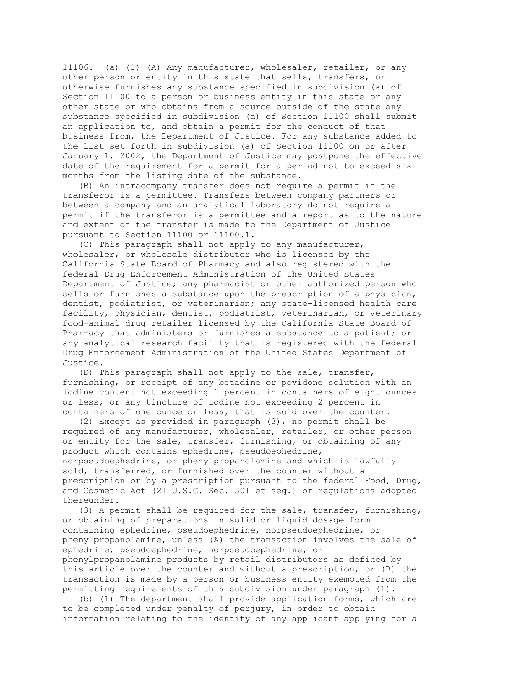11106. (a) (1) (A) Any manufacturer, wholesaler, retailer, or any other person or entity in this state that sells, transfers, or otherwise furnishes any substance specified in subdivision (a) of Section 11100 to a person or business entity in this state or any other state or who obtains from a source outside of the state any substance specified in subdivision (a) of Section 11100 shall submit an application to, and obtain a permit for the conduct of that business from, the Department of Justice. For any substance added to the list set forth in subdivision (a) of Section 11100 on or after January 1, 2002, the Department of Justice may postpone the effective date of the requirement for a permit for a period not to exceed six months from the listing date of the substance.

 (B) An intracompany transfer does not require a permit if the transferor is a permittee. Transfers between company partners or between a company and an analytical laboratory do not require a permit if the transferor is a permittee and a report as to the nature and extent of the transfer is made to the Department of Justice pursuant to Section 11100 or 11100.1.

 (C) This paragraph shall not apply to any manufacturer, wholesaler, or wholesale distributor who is licensed by the California State Board of Pharmacy and also registered with the federal Drug Enforcement Administration of the United States Department of Justice; any pharmacist or other authorized person who sells or furnishes a substance upon the prescription of a physician, dentist, podiatrist, or veterinarian; any state-licensed health care facility, physician, dentist, podiatrist, veterinarian, or veterinary food-animal drug retailer licensed by the California State Board of Pharmacy that administers or furnishes a substance to a patient; or any analytical research facility that is registered with the federal Drug Enforcement Administration of the United States Department of Justice.

 (D) This paragraph shall not apply to the sale, transfer, furnishing, or receipt of any betadine or povidone solution with an iodine content not exceeding 1 percent in containers of eight ounces or less, or any tincture of iodine not exceeding 2 percent in containers of one ounce or less, that is sold over the counter.

 (2) Except as provided in paragraph (3), no permit shall be required of any manufacturer, wholesaler, retailer, or other person or entity for the sale, transfer, furnishing, or obtaining of any product which contains ephedrine, pseudoephedrine, norpseudoephedrine, or phenylpropanolamine and which is lawfully sold, transferred, or furnished over the counter without a prescription or by a prescription pursuant to the federal Food, Drug, and Cosmetic Act (21 U.S.C. Sec. 301 et seq.) or regulations adopted thereunder.

 (3) A permit shall be required for the sale, transfer, furnishing, or obtaining of preparations in solid or liquid dosage form containing ephedrine, pseudoephedrine, norpseudoephedrine, or phenylpropanolamine, unless (A) the transaction involves the sale of ephedrine, pseudoephedrine, norpseudoephedrine, or phenylpropanolamine products by retail distributors as defined by this article over the counter and without a prescription, or (B) the transaction is made by a person or business entity exempted from the permitting requirements of this subdivision under paragraph (1).

 (b) (1) The department shall provide application forms, which are to be completed under penalty of perjury, in order to obtain information relating to the identity of any applicant applying for a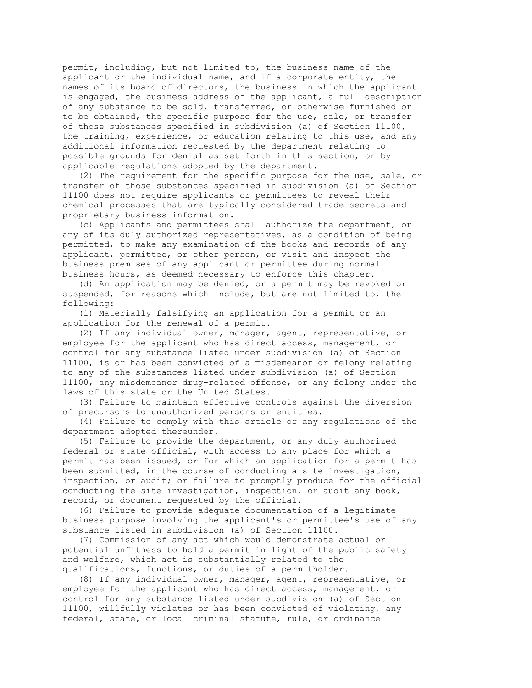permit, including, but not limited to, the business name of the applicant or the individual name, and if a corporate entity, the names of its board of directors, the business in which the applicant is engaged, the business address of the applicant, a full description of any substance to be sold, transferred, or otherwise furnished or to be obtained, the specific purpose for the use, sale, or transfer of those substances specified in subdivision (a) of Section 11100, the training, experience, or education relating to this use, and any additional information requested by the department relating to possible grounds for denial as set forth in this section, or by applicable regulations adopted by the department.

 (2) The requirement for the specific purpose for the use, sale, or transfer of those substances specified in subdivision (a) of Section 11100 does not require applicants or permittees to reveal their chemical processes that are typically considered trade secrets and proprietary business information.

 (c) Applicants and permittees shall authorize the department, or any of its duly authorized representatives, as a condition of being permitted, to make any examination of the books and records of any applicant, permittee, or other person, or visit and inspect the business premises of any applicant or permittee during normal business hours, as deemed necessary to enforce this chapter.

 (d) An application may be denied, or a permit may be revoked or suspended, for reasons which include, but are not limited to, the following:

 (1) Materially falsifying an application for a permit or an application for the renewal of a permit.

 (2) If any individual owner, manager, agent, representative, or employee for the applicant who has direct access, management, or control for any substance listed under subdivision (a) of Section 11100, is or has been convicted of a misdemeanor or felony relating to any of the substances listed under subdivision (a) of Section 11100, any misdemeanor drug-related offense, or any felony under the laws of this state or the United States.

 (3) Failure to maintain effective controls against the diversion of precursors to unauthorized persons or entities.

 (4) Failure to comply with this article or any regulations of the department adopted thereunder.

 (5) Failure to provide the department, or any duly authorized federal or state official, with access to any place for which a permit has been issued, or for which an application for a permit has been submitted, in the course of conducting a site investigation, inspection, or audit; or failure to promptly produce for the official conducting the site investigation, inspection, or audit any book, record, or document requested by the official.

 (6) Failure to provide adequate documentation of a legitimate business purpose involving the applicant's or permittee's use of any substance listed in subdivision (a) of Section 11100.

 (7) Commission of any act which would demonstrate actual or potential unfitness to hold a permit in light of the public safety and welfare, which act is substantially related to the qualifications, functions, or duties of a permitholder.

 (8) If any individual owner, manager, agent, representative, or employee for the applicant who has direct access, management, or control for any substance listed under subdivision (a) of Section 11100, willfully violates or has been convicted of violating, any federal, state, or local criminal statute, rule, or ordinance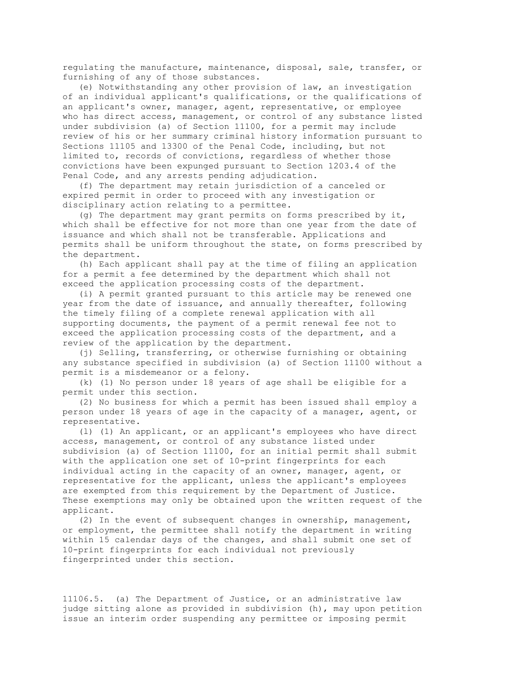regulating the manufacture, maintenance, disposal, sale, transfer, or furnishing of any of those substances.

 (e) Notwithstanding any other provision of law, an investigation of an individual applicant's qualifications, or the qualifications of an applicant's owner, manager, agent, representative, or employee who has direct access, management, or control of any substance listed under subdivision (a) of Section 11100, for a permit may include review of his or her summary criminal history information pursuant to Sections 11105 and 13300 of the Penal Code, including, but not limited to, records of convictions, regardless of whether those convictions have been expunged pursuant to Section 1203.4 of the Penal Code, and any arrests pending adjudication.

 (f) The department may retain jurisdiction of a canceled or expired permit in order to proceed with any investigation or disciplinary action relating to a permittee.

 (g) The department may grant permits on forms prescribed by it, which shall be effective for not more than one year from the date of issuance and which shall not be transferable. Applications and permits shall be uniform throughout the state, on forms prescribed by the department.

 (h) Each applicant shall pay at the time of filing an application for a permit a fee determined by the department which shall not exceed the application processing costs of the department.

 (i) A permit granted pursuant to this article may be renewed one year from the date of issuance, and annually thereafter, following the timely filing of a complete renewal application with all supporting documents, the payment of a permit renewal fee not to exceed the application processing costs of the department, and a review of the application by the department.

 (j) Selling, transferring, or otherwise furnishing or obtaining any substance specified in subdivision (a) of Section 11100 without a permit is a misdemeanor or a felony.

 (k) (1) No person under 18 years of age shall be eligible for a permit under this section.

 (2) No business for which a permit has been issued shall employ a person under 18 years of age in the capacity of a manager, agent, or representative.

 (l) (1) An applicant, or an applicant's employees who have direct access, management, or control of any substance listed under subdivision (a) of Section 11100, for an initial permit shall submit with the application one set of 10-print fingerprints for each individual acting in the capacity of an owner, manager, agent, or representative for the applicant, unless the applicant's employees are exempted from this requirement by the Department of Justice. These exemptions may only be obtained upon the written request of the applicant.

 (2) In the event of subsequent changes in ownership, management, or employment, the permittee shall notify the department in writing within 15 calendar days of the changes, and shall submit one set of 10-print fingerprints for each individual not previously fingerprinted under this section.

11106.5. (a) The Department of Justice, or an administrative law judge sitting alone as provided in subdivision (h), may upon petition issue an interim order suspending any permittee or imposing permit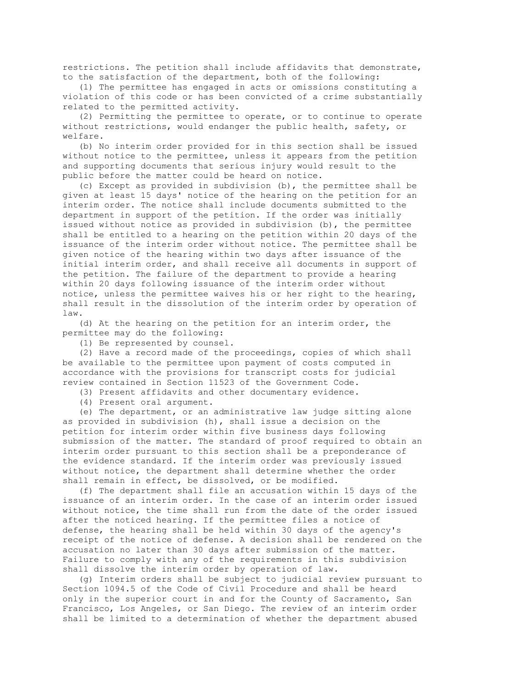restrictions. The petition shall include affidavits that demonstrate, to the satisfaction of the department, both of the following:

 (1) The permittee has engaged in acts or omissions constituting a violation of this code or has been convicted of a crime substantially related to the permitted activity.

 (2) Permitting the permittee to operate, or to continue to operate without restrictions, would endanger the public health, safety, or welfare.

 (b) No interim order provided for in this section shall be issued without notice to the permittee, unless it appears from the petition and supporting documents that serious injury would result to the public before the matter could be heard on notice.

 (c) Except as provided in subdivision (b), the permittee shall be given at least 15 days' notice of the hearing on the petition for an interim order. The notice shall include documents submitted to the department in support of the petition. If the order was initially issued without notice as provided in subdivision (b), the permittee shall be entitled to a hearing on the petition within 20 days of the issuance of the interim order without notice. The permittee shall be given notice of the hearing within two days after issuance of the initial interim order, and shall receive all documents in support of the petition. The failure of the department to provide a hearing within 20 days following issuance of the interim order without notice, unless the permittee waives his or her right to the hearing, shall result in the dissolution of the interim order by operation of law.

 (d) At the hearing on the petition for an interim order, the permittee may do the following:

(1) Be represented by counsel.

 (2) Have a record made of the proceedings, copies of which shall be available to the permittee upon payment of costs computed in accordance with the provisions for transcript costs for judicial review contained in Section 11523 of the Government Code.

(3) Present affidavits and other documentary evidence.

(4) Present oral argument.

 (e) The department, or an administrative law judge sitting alone as provided in subdivision (h), shall issue a decision on the petition for interim order within five business days following submission of the matter. The standard of proof required to obtain an interim order pursuant to this section shall be a preponderance of the evidence standard. If the interim order was previously issued without notice, the department shall determine whether the order shall remain in effect, be dissolved, or be modified.

 (f) The department shall file an accusation within 15 days of the issuance of an interim order. In the case of an interim order issued without notice, the time shall run from the date of the order issued after the noticed hearing. If the permittee files a notice of defense, the hearing shall be held within 30 days of the agency's receipt of the notice of defense. A decision shall be rendered on the accusation no later than 30 days after submission of the matter. Failure to comply with any of the requirements in this subdivision shall dissolve the interim order by operation of law.

 (g) Interim orders shall be subject to judicial review pursuant to Section 1094.5 of the Code of Civil Procedure and shall be heard only in the superior court in and for the County of Sacramento, San Francisco, Los Angeles, or San Diego. The review of an interim order shall be limited to a determination of whether the department abused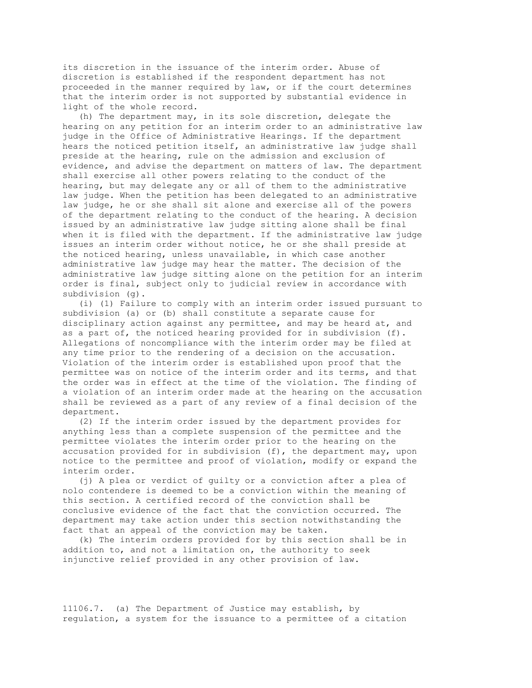its discretion in the issuance of the interim order. Abuse of discretion is established if the respondent department has not proceeded in the manner required by law, or if the court determines that the interim order is not supported by substantial evidence in light of the whole record.

 (h) The department may, in its sole discretion, delegate the hearing on any petition for an interim order to an administrative law judge in the Office of Administrative Hearings. If the department hears the noticed petition itself, an administrative law judge shall preside at the hearing, rule on the admission and exclusion of evidence, and advise the department on matters of law. The department shall exercise all other powers relating to the conduct of the hearing, but may delegate any or all of them to the administrative law judge. When the petition has been delegated to an administrative law judge, he or she shall sit alone and exercise all of the powers of the department relating to the conduct of the hearing. A decision issued by an administrative law judge sitting alone shall be final when it is filed with the department. If the administrative law judge issues an interim order without notice, he or she shall preside at the noticed hearing, unless unavailable, in which case another administrative law judge may hear the matter. The decision of the administrative law judge sitting alone on the petition for an interim order is final, subject only to judicial review in accordance with subdivision (g).

 (i) (1) Failure to comply with an interim order issued pursuant to subdivision (a) or (b) shall constitute a separate cause for disciplinary action against any permittee, and may be heard at, and as a part of, the noticed hearing provided for in subdivision (f). Allegations of noncompliance with the interim order may be filed at any time prior to the rendering of a decision on the accusation. Violation of the interim order is established upon proof that the permittee was on notice of the interim order and its terms, and that the order was in effect at the time of the violation. The finding of a violation of an interim order made at the hearing on the accusation shall be reviewed as a part of any review of a final decision of the department.

 (2) If the interim order issued by the department provides for anything less than a complete suspension of the permittee and the permittee violates the interim order prior to the hearing on the accusation provided for in subdivision (f), the department may, upon notice to the permittee and proof of violation, modify or expand the interim order.

 (j) A plea or verdict of guilty or a conviction after a plea of nolo contendere is deemed to be a conviction within the meaning of this section. A certified record of the conviction shall be conclusive evidence of the fact that the conviction occurred. The department may take action under this section notwithstanding the fact that an appeal of the conviction may be taken.

 (k) The interim orders provided for by this section shall be in addition to, and not a limitation on, the authority to seek injunctive relief provided in any other provision of law.

11106.7. (a) The Department of Justice may establish, by regulation, a system for the issuance to a permittee of a citation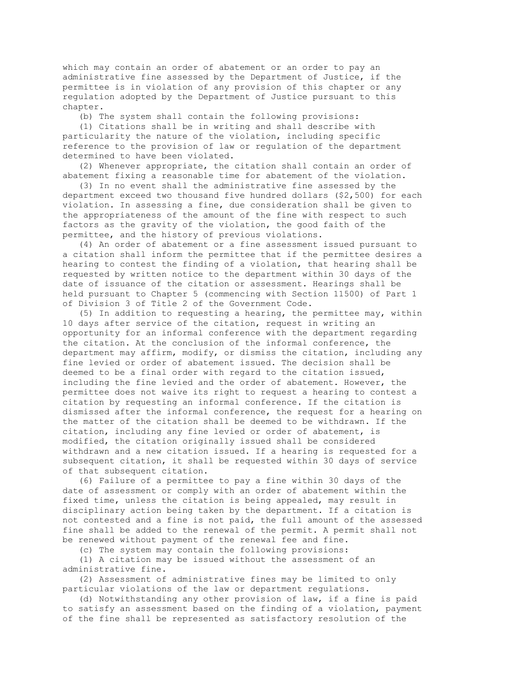which may contain an order of abatement or an order to pay an administrative fine assessed by the Department of Justice, if the permittee is in violation of any provision of this chapter or any regulation adopted by the Department of Justice pursuant to this chapter.

(b) The system shall contain the following provisions:

 (1) Citations shall be in writing and shall describe with particularity the nature of the violation, including specific reference to the provision of law or regulation of the department determined to have been violated.

 (2) Whenever appropriate, the citation shall contain an order of abatement fixing a reasonable time for abatement of the violation.

 (3) In no event shall the administrative fine assessed by the department exceed two thousand five hundred dollars (\$2,500) for each violation. In assessing a fine, due consideration shall be given to the appropriateness of the amount of the fine with respect to such factors as the gravity of the violation, the good faith of the permittee, and the history of previous violations.

 (4) An order of abatement or a fine assessment issued pursuant to a citation shall inform the permittee that if the permittee desires a hearing to contest the finding of a violation, that hearing shall be requested by written notice to the department within 30 days of the date of issuance of the citation or assessment. Hearings shall be held pursuant to Chapter 5 (commencing with Section 11500) of Part 1 of Division 3 of Title 2 of the Government Code.

 (5) In addition to requesting a hearing, the permittee may, within 10 days after service of the citation, request in writing an opportunity for an informal conference with the department regarding the citation. At the conclusion of the informal conference, the department may affirm, modify, or dismiss the citation, including any fine levied or order of abatement issued. The decision shall be deemed to be a final order with regard to the citation issued, including the fine levied and the order of abatement. However, the permittee does not waive its right to request a hearing to contest a citation by requesting an informal conference. If the citation is dismissed after the informal conference, the request for a hearing on the matter of the citation shall be deemed to be withdrawn. If the citation, including any fine levied or order of abatement, is modified, the citation originally issued shall be considered withdrawn and a new citation issued. If a hearing is requested for a subsequent citation, it shall be requested within 30 days of service of that subsequent citation.

 (6) Failure of a permittee to pay a fine within 30 days of the date of assessment or comply with an order of abatement within the fixed time, unless the citation is being appealed, may result in disciplinary action being taken by the department. If a citation is not contested and a fine is not paid, the full amount of the assessed fine shall be added to the renewal of the permit. A permit shall not be renewed without payment of the renewal fee and fine.

(c) The system may contain the following provisions:

 (1) A citation may be issued without the assessment of an administrative fine.

 (2) Assessment of administrative fines may be limited to only particular violations of the law or department regulations.

 (d) Notwithstanding any other provision of law, if a fine is paid to satisfy an assessment based on the finding of a violation, payment of the fine shall be represented as satisfactory resolution of the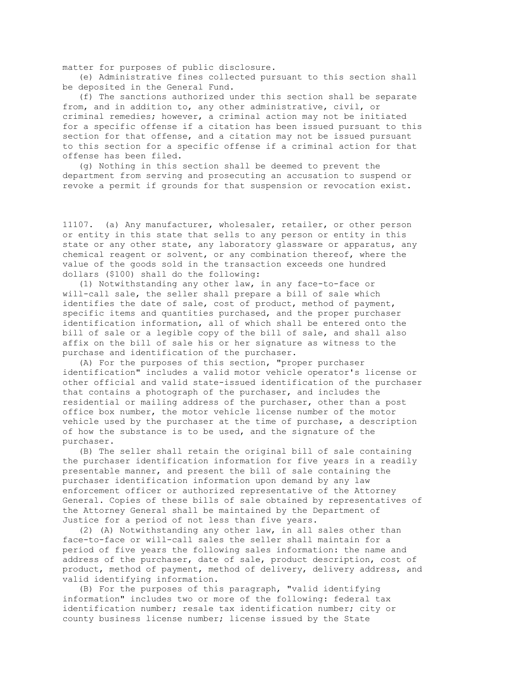matter for purposes of public disclosure.

 (e) Administrative fines collected pursuant to this section shall be deposited in the General Fund.

 (f) The sanctions authorized under this section shall be separate from, and in addition to, any other administrative, civil, or criminal remedies; however, a criminal action may not be initiated for a specific offense if a citation has been issued pursuant to this section for that offense, and a citation may not be issued pursuant to this section for a specific offense if a criminal action for that offense has been filed.

 (g) Nothing in this section shall be deemed to prevent the department from serving and prosecuting an accusation to suspend or revoke a permit if grounds for that suspension or revocation exist.

11107. (a) Any manufacturer, wholesaler, retailer, or other person or entity in this state that sells to any person or entity in this state or any other state, any laboratory glassware or apparatus, any chemical reagent or solvent, or any combination thereof, where the value of the goods sold in the transaction exceeds one hundred dollars (\$100) shall do the following:

 (1) Notwithstanding any other law, in any face-to-face or will-call sale, the seller shall prepare a bill of sale which identifies the date of sale, cost of product, method of payment, specific items and quantities purchased, and the proper purchaser identification information, all of which shall be entered onto the bill of sale or a legible copy of the bill of sale, and shall also affix on the bill of sale his or her signature as witness to the purchase and identification of the purchaser.

 (A) For the purposes of this section, "proper purchaser identification" includes a valid motor vehicle operator's license or other official and valid state-issued identification of the purchaser that contains a photograph of the purchaser, and includes the residential or mailing address of the purchaser, other than a post office box number, the motor vehicle license number of the motor vehicle used by the purchaser at the time of purchase, a description of how the substance is to be used, and the signature of the purchaser.

 (B) The seller shall retain the original bill of sale containing the purchaser identification information for five years in a readily presentable manner, and present the bill of sale containing the purchaser identification information upon demand by any law enforcement officer or authorized representative of the Attorney General. Copies of these bills of sale obtained by representatives of the Attorney General shall be maintained by the Department of Justice for a period of not less than five years.

 (2) (A) Notwithstanding any other law, in all sales other than face-to-face or will-call sales the seller shall maintain for a period of five years the following sales information: the name and address of the purchaser, date of sale, product description, cost of product, method of payment, method of delivery, delivery address, and valid identifying information.

 (B) For the purposes of this paragraph, "valid identifying information" includes two or more of the following: federal tax identification number; resale tax identification number; city or county business license number; license issued by the State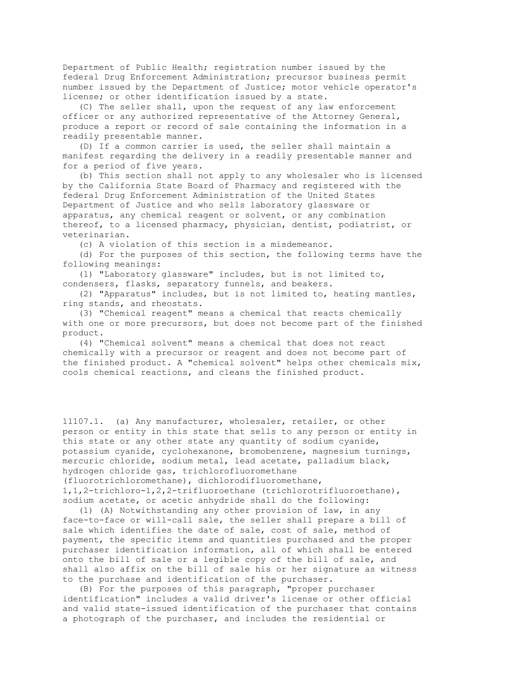Department of Public Health; registration number issued by the federal Drug Enforcement Administration; precursor business permit number issued by the Department of Justice; motor vehicle operator's license; or other identification issued by a state.

 (C) The seller shall, upon the request of any law enforcement officer or any authorized representative of the Attorney General, produce a report or record of sale containing the information in a readily presentable manner.

 (D) If a common carrier is used, the seller shall maintain a manifest regarding the delivery in a readily presentable manner and for a period of five years.

 (b) This section shall not apply to any wholesaler who is licensed by the California State Board of Pharmacy and registered with the federal Drug Enforcement Administration of the United States Department of Justice and who sells laboratory glassware or apparatus, any chemical reagent or solvent, or any combination thereof, to a licensed pharmacy, physician, dentist, podiatrist, or veterinarian.

(c) A violation of this section is a misdemeanor.

 (d) For the purposes of this section, the following terms have the following meanings:

 (1) "Laboratory glassware" includes, but is not limited to, condensers, flasks, separatory funnels, and beakers.

 (2) "Apparatus" includes, but is not limited to, heating mantles, ring stands, and rheostats.

 (3) "Chemical reagent" means a chemical that reacts chemically with one or more precursors, but does not become part of the finished product.

 (4) "Chemical solvent" means a chemical that does not react chemically with a precursor or reagent and does not become part of the finished product. A "chemical solvent" helps other chemicals mix, cools chemical reactions, and cleans the finished product.

11107.1. (a) Any manufacturer, wholesaler, retailer, or other person or entity in this state that sells to any person or entity in this state or any other state any quantity of sodium cyanide, potassium cyanide, cyclohexanone, bromobenzene, magnesium turnings, mercuric chloride, sodium metal, lead acetate, palladium black, hydrogen chloride gas, trichlorofluoromethane (fluorotrichloromethane), dichlorodifluoromethane, 1,1,2-trichloro-1,2,2-trifluoroethane (trichlorotrifluoroethane), sodium acetate, or acetic anhydride shall do the following:

 (1) (A) Notwithstanding any other provision of law, in any face-to-face or will-call sale, the seller shall prepare a bill of sale which identifies the date of sale, cost of sale, method of payment, the specific items and quantities purchased and the proper purchaser identification information, all of which shall be entered onto the bill of sale or a legible copy of the bill of sale, and shall also affix on the bill of sale his or her signature as witness to the purchase and identification of the purchaser.

 (B) For the purposes of this paragraph, "proper purchaser identification" includes a valid driver's license or other official and valid state-issued identification of the purchaser that contains a photograph of the purchaser, and includes the residential or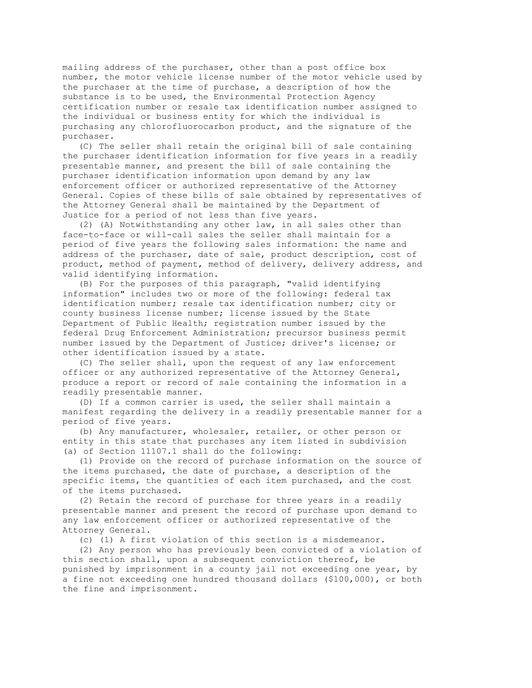mailing address of the purchaser, other than a post office box number, the motor vehicle license number of the motor vehicle used by the purchaser at the time of purchase, a description of how the substance is to be used, the Environmental Protection Agency certification number or resale tax identification number assigned to the individual or business entity for which the individual is purchasing any chlorofluorocarbon product, and the signature of the purchaser.

 (C) The seller shall retain the original bill of sale containing the purchaser identification information for five years in a readily presentable manner, and present the bill of sale containing the purchaser identification information upon demand by any law enforcement officer or authorized representative of the Attorney General. Copies of these bills of sale obtained by representatives of the Attorney General shall be maintained by the Department of Justice for a period of not less than five years.

 (2) (A) Notwithstanding any other law, in all sales other than face-to-face or will-call sales the seller shall maintain for a period of five years the following sales information: the name and address of the purchaser, date of sale, product description, cost of product, method of payment, method of delivery, delivery address, and valid identifying information.

 (B) For the purposes of this paragraph, "valid identifying information" includes two or more of the following: federal tax identification number; resale tax identification number; city or county business license number; license issued by the State Department of Public Health; registration number issued by the federal Drug Enforcement Administration; precursor business permit number issued by the Department of Justice; driver's license; or other identification issued by a state.

 (C) The seller shall, upon the request of any law enforcement officer or any authorized representative of the Attorney General, produce a report or record of sale containing the information in a readily presentable manner.

 (D) If a common carrier is used, the seller shall maintain a manifest regarding the delivery in a readily presentable manner for a period of five years.

 (b) Any manufacturer, wholesaler, retailer, or other person or entity in this state that purchases any item listed in subdivision (a) of Section 11107.1 shall do the following:

 (1) Provide on the record of purchase information on the source of the items purchased, the date of purchase, a description of the specific items, the quantities of each item purchased, and the cost of the items purchased.

 (2) Retain the record of purchase for three years in a readily presentable manner and present the record of purchase upon demand to any law enforcement officer or authorized representative of the Attorney General.

(c) (1) A first violation of this section is a misdemeanor.

 (2) Any person who has previously been convicted of a violation of this section shall, upon a subsequent conviction thereof, be punished by imprisonment in a county jail not exceeding one year, by a fine not exceeding one hundred thousand dollars (\$100,000), or both the fine and imprisonment.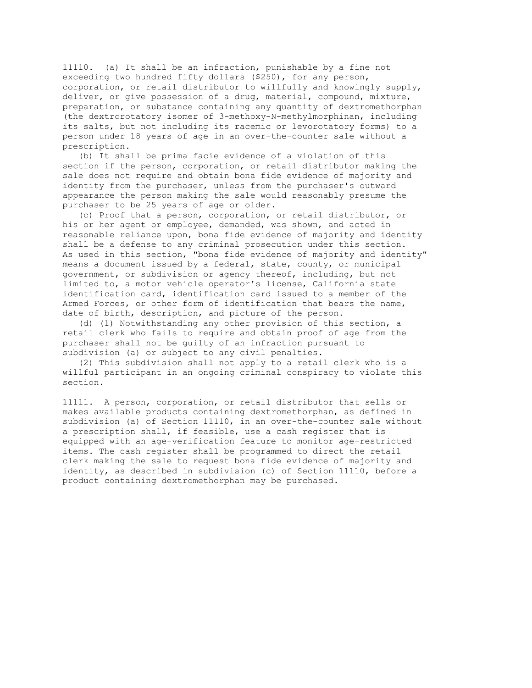11110. (a) It shall be an infraction, punishable by a fine not exceeding two hundred fifty dollars (\$250), for any person, corporation, or retail distributor to willfully and knowingly supply, deliver, or give possession of a drug, material, compound, mixture, preparation, or substance containing any quantity of dextromethorphan (the dextrorotatory isomer of 3-methoxy-N-methylmorphinan, including its salts, but not including its racemic or levorotatory forms) to a person under 18 years of age in an over-the-counter sale without a prescription.

 (b) It shall be prima facie evidence of a violation of this section if the person, corporation, or retail distributor making the sale does not require and obtain bona fide evidence of majority and identity from the purchaser, unless from the purchaser's outward appearance the person making the sale would reasonably presume the purchaser to be 25 years of age or older.

 (c) Proof that a person, corporation, or retail distributor, or his or her agent or employee, demanded, was shown, and acted in reasonable reliance upon, bona fide evidence of majority and identity shall be a defense to any criminal prosecution under this section. As used in this section, "bona fide evidence of majority and identity" means a document issued by a federal, state, county, or municipal government, or subdivision or agency thereof, including, but not limited to, a motor vehicle operator's license, California state identification card, identification card issued to a member of the Armed Forces, or other form of identification that bears the name, date of birth, description, and picture of the person.

 (d) (1) Notwithstanding any other provision of this section, a retail clerk who fails to require and obtain proof of age from the purchaser shall not be guilty of an infraction pursuant to subdivision (a) or subject to any civil penalties.

 (2) This subdivision shall not apply to a retail clerk who is a willful participant in an ongoing criminal conspiracy to violate this section.

11111. A person, corporation, or retail distributor that sells or makes available products containing dextromethorphan, as defined in subdivision (a) of Section 11110, in an over-the-counter sale without a prescription shall, if feasible, use a cash register that is equipped with an age-verification feature to monitor age-restricted items. The cash register shall be programmed to direct the retail clerk making the sale to request bona fide evidence of majority and identity, as described in subdivision (c) of Section 11110, before a product containing dextromethorphan may be purchased.